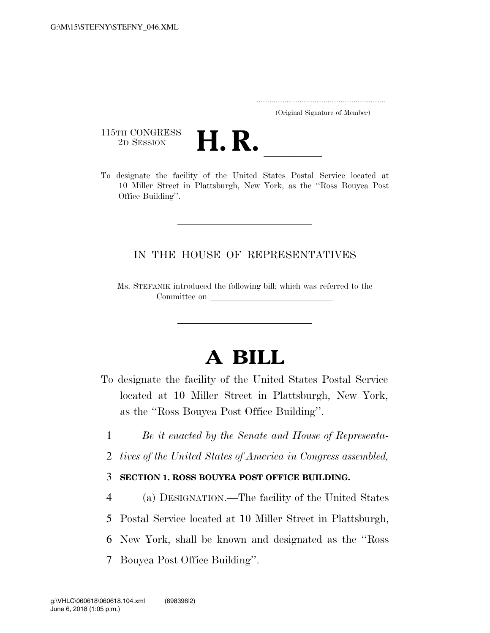..................................................................... (Original Signature of Member)

115TH CONGRESS<br>2D SESSION



115TH CONGRESS<br>
2D SESSION<br>
To designate the facility of the United States Postal Service located at 10 Miller Street in Plattsburgh, New York, as the ''Ross Bouyea Post Office Building''.

## IN THE HOUSE OF REPRESENTATIVES

Ms. STEFANIK introduced the following bill; which was referred to the Committee on

## **A BILL**

- To designate the facility of the United States Postal Service located at 10 Miller Street in Plattsburgh, New York, as the ''Ross Bouyea Post Office Building''.
	- 1 *Be it enacted by the Senate and House of Representa-*
	- 2 *tives of the United States of America in Congress assembled,*

## 3 **SECTION 1. ROSS BOUYEA POST OFFICE BUILDING.**

- 4 (a) DESIGNATION.—The facility of the United States
- 5 Postal Service located at 10 Miller Street in Plattsburgh,
- 6 New York, shall be known and designated as the ''Ross
- 7 Bouyea Post Office Building''.